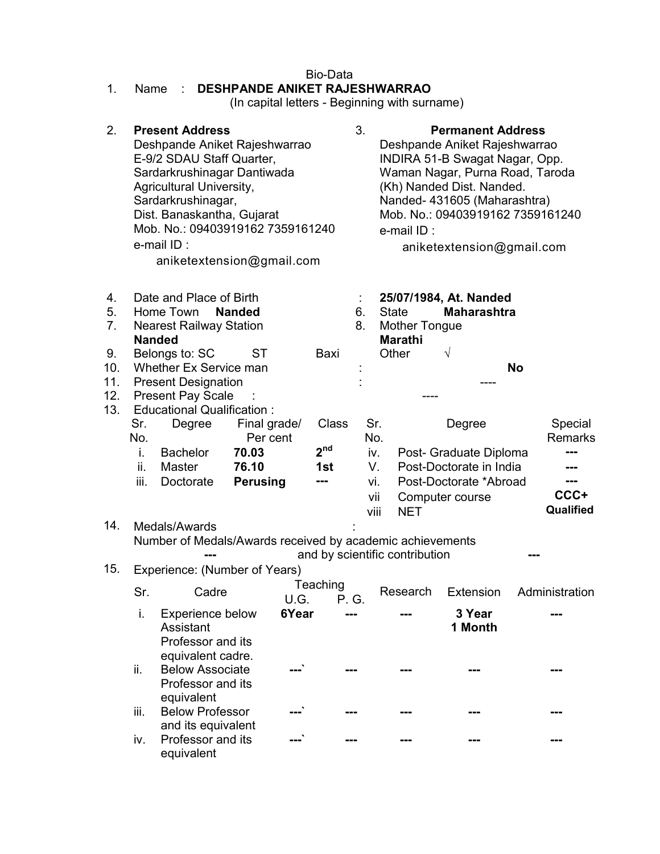| <b>Bio-Data</b><br><b>DESHPANDE ANIKET RAJESHWARRAO</b><br>1.<br>Name<br>(In capital letters - Beginning with surname) |                                                                                                                                                                |                                                                                                                                                                                                                                                                                    |                          |       |                 |                                                                                                        |                                                                                                                                                                                                                                                                            |                                                                      |                           |  |  |
|------------------------------------------------------------------------------------------------------------------------|----------------------------------------------------------------------------------------------------------------------------------------------------------------|------------------------------------------------------------------------------------------------------------------------------------------------------------------------------------------------------------------------------------------------------------------------------------|--------------------------|-------|-----------------|--------------------------------------------------------------------------------------------------------|----------------------------------------------------------------------------------------------------------------------------------------------------------------------------------------------------------------------------------------------------------------------------|----------------------------------------------------------------------|---------------------------|--|--|
| 2.                                                                                                                     |                                                                                                                                                                | <b>Present Address</b><br>Deshpande Aniket Rajeshwarrao<br>E-9/2 SDAU Staff Quarter,<br>Sardarkrushinagar Dantiwada<br>Agricultural University,<br>Sardarkrushinagar,<br>Dist. Banaskantha, Gujarat<br>Mob. No.: 09403919162 7359161240<br>e-mail ID:<br>aniketextension@gmail.com |                          |       |                 | 3.                                                                                                     | <b>Permanent Address</b><br>Deshpande Aniket Rajeshwarrao<br>INDIRA 51-B Swagat Nagar, Opp.<br>Waman Nagar, Purna Road, Taroda<br>(Kh) Nanded Dist. Nanded.<br>Nanded- 431605 (Maharashtra)<br>Mob. No.: 09403919162 7359161240<br>e-mail ID:<br>aniketextension@gmail.com |                                                                      |                           |  |  |
| 4.<br>5.<br>7.                                                                                                         |                                                                                                                                                                | Date and Place of Birth<br>Home Town<br><b>Nanded</b><br><b>Nearest Railway Station</b>                                                                                                                                                                                            |                          |       | 6.<br>8.        | 25/07/1984, At. Nanded<br><b>State</b><br><b>Maharashtra</b><br><b>Mother Tongue</b><br><b>Marathi</b> |                                                                                                                                                                                                                                                                            |                                                                      |                           |  |  |
| 9.<br>10.<br>11.<br>12.<br>13.                                                                                         | <b>Nanded</b><br>Belongs to: SC<br>ST<br>Whether Ex Service man<br><b>Present Designation</b><br><b>Present Pay Scale</b><br><b>Educational Qualification:</b> |                                                                                                                                                                                                                                                                                    |                          |       | Baxi            | $\sqrt{}$<br>Other                                                                                     |                                                                                                                                                                                                                                                                            |                                                                      | <b>No</b>                 |  |  |
|                                                                                                                        | Sr.<br>No.                                                                                                                                                     | Degree                                                                                                                                                                                                                                                                             | Final grade/<br>Per cent |       | Class           | Sr.<br>No.                                                                                             |                                                                                                                                                                                                                                                                            | Degree                                                               | Special<br><b>Remarks</b> |  |  |
|                                                                                                                        | i.                                                                                                                                                             | <b>Bachelor</b>                                                                                                                                                                                                                                                                    | 70.03                    |       | 2 <sup>nd</sup> | iv.                                                                                                    |                                                                                                                                                                                                                                                                            | Post- Graduate Diploma                                               |                           |  |  |
|                                                                                                                        | ii.<br>iii.                                                                                                                                                    | <b>Master</b><br>Doctorate                                                                                                                                                                                                                                                         | 76.10<br><b>Perusing</b> |       | 1st<br>---      | V.<br>vi.<br>vii<br>viii                                                                               | <b>NET</b>                                                                                                                                                                                                                                                                 | Post-Doctorate in India<br>Post-Doctorate *Abroad<br>Computer course | ---<br>CCC+<br>Qualified  |  |  |
| 14.                                                                                                                    |                                                                                                                                                                | Medals/Awards<br>Number of Medals/Awards received by academic achievements<br>and by scientific contribution                                                                                                                                                                       |                          |       |                 |                                                                                                        |                                                                                                                                                                                                                                                                            |                                                                      |                           |  |  |
| 15.                                                                                                                    |                                                                                                                                                                | Experience: (Number of Years)                                                                                                                                                                                                                                                      |                          |       | Teaching        |                                                                                                        |                                                                                                                                                                                                                                                                            |                                                                      |                           |  |  |
|                                                                                                                        | Sr.                                                                                                                                                            | Cadre                                                                                                                                                                                                                                                                              |                          | U.G.  | P. G.           |                                                                                                        | Research                                                                                                                                                                                                                                                                   | Extension                                                            | Administration            |  |  |
|                                                                                                                        |                                                                                                                                                                | i.<br>Experience below<br>Assistant<br>Professor and its<br>equivalent cadre.<br>ii.<br><b>Below Associate</b><br>Professor and its<br>equivalent                                                                                                                                  |                          | 6Year |                 |                                                                                                        |                                                                                                                                                                                                                                                                            | 3 Year<br>1 Month                                                    |                           |  |  |
|                                                                                                                        |                                                                                                                                                                |                                                                                                                                                                                                                                                                                    |                          |       |                 |                                                                                                        |                                                                                                                                                                                                                                                                            |                                                                      |                           |  |  |
|                                                                                                                        | iii.                                                                                                                                                           | <b>Below Professor</b><br>and its equivalent                                                                                                                                                                                                                                       |                          |       |                 |                                                                                                        |                                                                                                                                                                                                                                                                            |                                                                      |                           |  |  |
|                                                                                                                        | iv.                                                                                                                                                            | Professor and its<br>equivalent                                                                                                                                                                                                                                                    |                          |       |                 |                                                                                                        |                                                                                                                                                                                                                                                                            |                                                                      |                           |  |  |